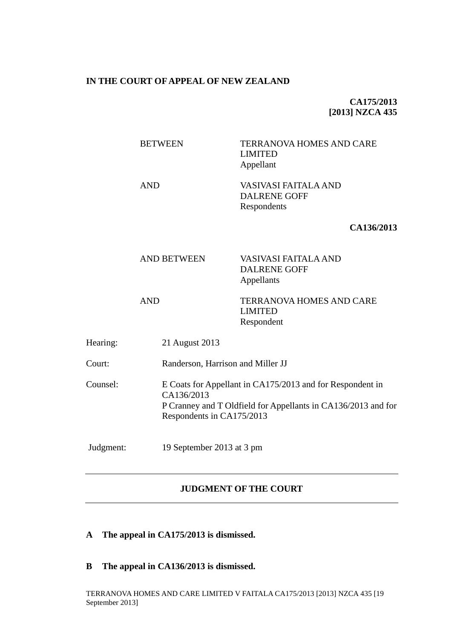## **IN THE COURT OF APPEAL OF NEW ZEALAND**

# **CA175/2013 [2013] NZCA 435**

|           | <b>BETWEEN</b>     |                           | <b>TERRANOVA HOMES AND CARE</b><br><b>LIMITED</b><br>Appellant                                                             |  |
|-----------|--------------------|---------------------------|----------------------------------------------------------------------------------------------------------------------------|--|
|           | <b>AND</b>         |                           | VASIVASI FAITALA AND<br><b>DALRENE GOFF</b><br>Respondents                                                                 |  |
|           |                    |                           | CA136/2013                                                                                                                 |  |
|           | <b>AND BETWEEN</b> |                           | VASIVASI FAITALA AND<br><b>DALRENE GOFF</b><br>Appellants                                                                  |  |
|           | <b>AND</b>         |                           | TERRANOVA HOMES AND CARE<br><b>LIMITED</b><br>Respondent                                                                   |  |
| Hearing:  | 21 August 2013     |                           |                                                                                                                            |  |
| Court:    |                    |                           | Randerson, Harrison and Miller JJ                                                                                          |  |
| Counsel:  | CA136/2013         | Respondents in CA175/2013 | E Coats for Appellant in CA175/2013 and for Respondent in<br>P Cranney and T Oldfield for Appellants in CA136/2013 and for |  |
| Judgment: |                    | 19 September 2013 at 3 pm |                                                                                                                            |  |

# **JUDGMENT OF THE COURT**

- **A The appeal in CA175/2013 is dismissed.**
- **B The appeal in CA136/2013 is dismissed.**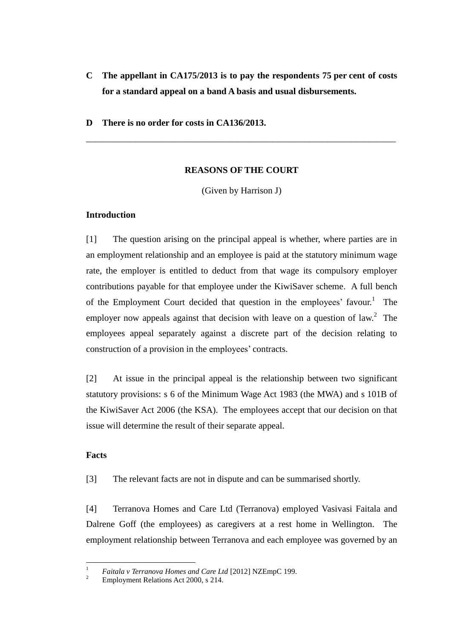- **C The appellant in CA175/2013 is to pay the respondents 75 per cent of costs for a standard appeal on a band A basis and usual disbursements.**
- **D There is no order for costs in CA136/2013.**

## **REASONS OF THE COURT**

\_\_\_\_\_\_\_\_\_\_\_\_\_\_\_\_\_\_\_\_\_\_\_\_\_\_\_\_\_\_\_\_\_\_\_\_\_\_\_\_\_\_\_\_\_\_\_\_\_\_\_\_\_\_\_\_\_\_\_\_\_\_\_\_\_\_\_\_

(Given by Harrison J)

# **Introduction**

[1] The question arising on the principal appeal is whether, where parties are in an employment relationship and an employee is paid at the statutory minimum wage rate, the employer is entitled to deduct from that wage its compulsory employer contributions payable for that employee under the KiwiSaver scheme. A full bench of the Employment Court decided that question in the employees' favour.<sup>1</sup> The employer now appeals against that decision with leave on a question of law.<sup>2</sup> The employees appeal separately against a discrete part of the decision relating to construction of a provision in the employees' contracts.

[2] At issue in the principal appeal is the relationship between two significant statutory provisions: s 6 of the Minimum Wage Act 1983 (the MWA) and s 101B of the KiwiSaver Act 2006 (the KSA). The employees accept that our decision on that issue will determine the result of their separate appeal.

# **Facts**

[3] The relevant facts are not in dispute and can be summarised shortly.

[4] Terranova Homes and Care Ltd (Terranova) employed Vasivasi Faitala and Dalrene Goff (the employees) as caregivers at a rest home in Wellington. The employment relationship between Terranova and each employee was governed by an

 $\overline{1}$ <sup>1</sup> *Faitala v Terranova Homes and Care Ltd* [2012] NZEmpC 199.

<sup>2</sup> Employment Relations Act 2000, s 214.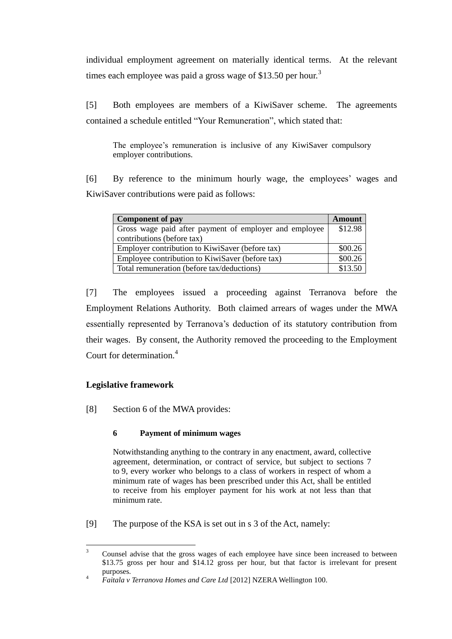individual employment agreement on materially identical terms. At the relevant times each employee was paid a gross wage of \$13.50 per hour.<sup>3</sup>

[5] Both employees are members of a KiwiSaver scheme. The agreements contained a schedule entitled "Your Remuneration", which stated that:

The employee's remuneration is inclusive of any KiwiSaver compulsory employer contributions.

[6] By reference to the minimum hourly wage, the employees' wages and KiwiSaver contributions were paid as follows:

| <b>Component of pay</b>                                |         |  |
|--------------------------------------------------------|---------|--|
| Gross wage paid after payment of employer and employee | \$12.98 |  |
| contributions (before tax)                             |         |  |
| Employer contribution to KiwiSaver (before tax)        |         |  |
| Employee contribution to KiwiSaver (before tax)        | \$00.26 |  |
| Total remuneration (before tax/deductions)             |         |  |

[7] The employees issued a proceeding against Terranova before the Employment Relations Authority. Both claimed arrears of wages under the MWA essentially represented by Terranova's deduction of its statutory contribution from their wages. By consent, the Authority removed the proceeding to the Employment Court for determination.<sup>4</sup>

# **Legislative framework**

[8] Section 6 of the MWA provides:

# **6 Payment of minimum wages**

Notwithstanding anything to the contrary in any enactment, award, collective agreement, determination, or contract of service, but subject to sections 7 to 9, every worker who belongs to a class of workers in respect of whom a minimum rate of wages has been prescribed under this Act, shall be entitled to receive from his employer payment for his work at not less than that minimum rate.

[9] The purpose of the KSA is set out in s 3 of the Act, namely:

 $\overline{a}$ <sup>3</sup> Counsel advise that the gross wages of each employee have since been increased to between \$13.75 gross per hour and \$14.12 gross per hour, but that factor is irrelevant for present purposes.

<sup>4</sup> *Faitala v Terranova Homes and Care Ltd* [2012] NZERA Wellington 100.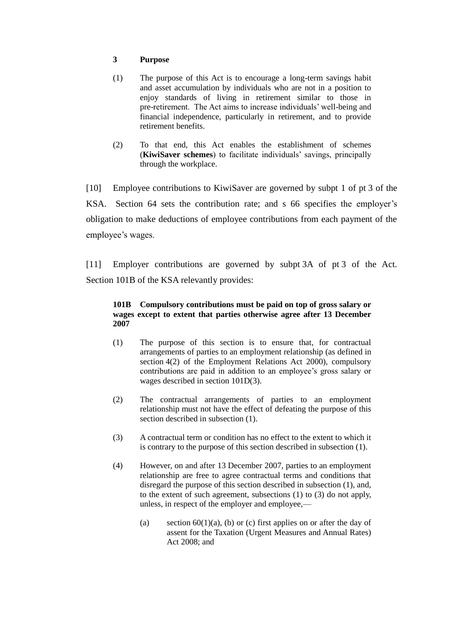## **3 Purpose**

- (1) The purpose of this Act is to encourage a long-term savings habit and asset accumulation by individuals who are not in a position to enjoy standards of living in retirement similar to those in pre-retirement. The Act aims to increase individuals' well-being and financial independence, particularly in retirement, and to provide retirement benefits.
- (2) To that end, this Act enables the establishment of schemes (**KiwiSaver schemes**) to facilitate individuals' savings, principally through the workplace.

[10] Employee contributions to KiwiSaver are governed by subpt 1 of pt 3 of the KSA. Section 64 sets the contribution rate; and s 66 specifies the employer's obligation to make deductions of employee contributions from each payment of the employee's wages.

[11] Employer contributions are governed by subpt 3A of pt 3 of the Act. Section 101B of the KSA relevantly provides:

### **101B Compulsory contributions must be paid on top of gross salary or wages except to extent that parties otherwise agree after 13 December 2007**

- (1) The purpose of this section is to ensure that, for contractual arrangements of parties to an employment relationship (as defined in section 4(2) of the Employment Relations Act 2000), compulsory contributions are paid in addition to an employee's gross salary or wages described in section 101D(3).
- (2) The contractual arrangements of parties to an employment relationship must not have the effect of defeating the purpose of this section described in subsection (1).
- (3) A contractual term or condition has no effect to the extent to which it is contrary to the purpose of this section described in subsection (1).
- (4) However, on and after 13 December 2007, parties to an employment relationship are free to agree contractual terms and conditions that disregard the purpose of this section described in subsection (1), and, to the extent of such agreement, subsections (1) to (3) do not apply, unless, in respect of the employer and employee,—
	- (a) section  $60(1)(a)$ , (b) or (c) first applies on or after the day of assent for the Taxation (Urgent Measures and Annual Rates) Act 2008; and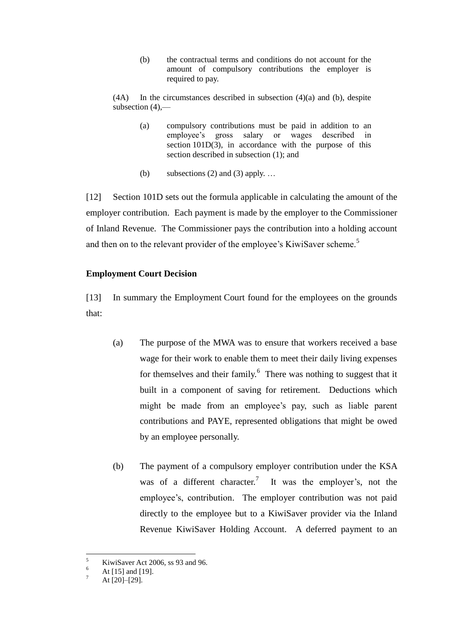(b) the contractual terms and conditions do not account for the amount of compulsory contributions the employer is required to pay.

 $(4A)$  In the circumstances described in subsection  $(4)(a)$  and  $(b)$ , despite subsection (4),—

- (a) compulsory contributions must be paid in addition to an employee's gross salary or wages described in section 101D(3), in accordance with the purpose of this section described in subsection (1); and
- (b) subsections (2) and (3) apply.  $\dots$

[12] Section 101D sets out the formula applicable in calculating the amount of the employer contribution. Each payment is made by the employer to the Commissioner of Inland Revenue. The Commissioner pays the contribution into a holding account and then on to the relevant provider of the employee's KiwiSaver scheme.<sup>5</sup>

## **Employment Court Decision**

[13] In summary the Employment Court found for the employees on the grounds that:

- (a) The purpose of the MWA was to ensure that workers received a base wage for their work to enable them to meet their daily living expenses for themselves and their family.<sup>6</sup> There was nothing to suggest that it built in a component of saving for retirement. Deductions which might be made from an employee's pay, such as liable parent contributions and PAYE, represented obligations that might be owed by an employee personally.
- (b) The payment of a compulsory employer contribution under the KSA was of a different character.<sup>7</sup> It was the employer's, not the employee's, contribution. The employer contribution was not paid directly to the employee but to a KiwiSaver provider via the Inland Revenue KiwiSaver Holding Account. A deferred payment to an

<sup>5</sup>  $\frac{5}{6}$  KiwiSaver Act 2006, ss 93 and 96.

 $^{6}$  At [15] and [19].

At [20]–[29].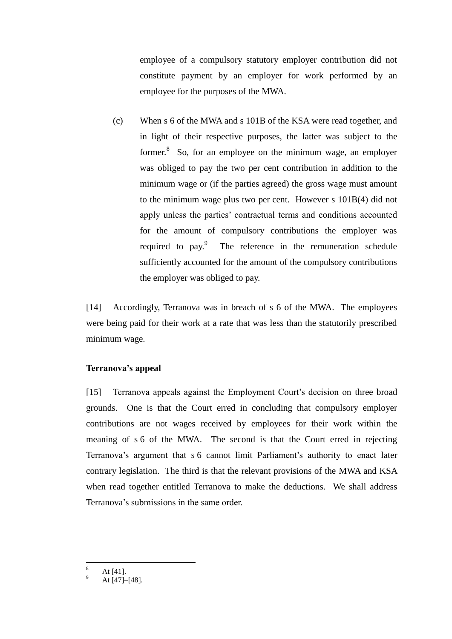employee of a compulsory statutory employer contribution did not constitute payment by an employer for work performed by an employee for the purposes of the MWA.

(c) When s 6 of the MWA and s 101B of the KSA were read together, and in light of their respective purposes, the latter was subject to the former. $8$  So, for an employee on the minimum wage, an employer was obliged to pay the two per cent contribution in addition to the minimum wage or (if the parties agreed) the gross wage must amount to the minimum wage plus two per cent. However s 101B(4) did not apply unless the parties' contractual terms and conditions accounted for the amount of compulsory contributions the employer was required to pay. $\degree$  The reference in the remuneration schedule sufficiently accounted for the amount of the compulsory contributions the employer was obliged to pay.

[14] Accordingly, Terranova was in breach of s 6 of the MWA. The employees were being paid for their work at a rate that was less than the statutorily prescribed minimum wage.

### **Terranova's appeal**

[15] Terranova appeals against the Employment Court's decision on three broad grounds. One is that the Court erred in concluding that compulsory employer contributions are not wages received by employees for their work within the meaning of s 6 of the MWA. The second is that the Court erred in rejecting Terranova's argument that s 6 cannot limit Parliament's authority to enact later contrary legislation. The third is that the relevant provisions of the MWA and KSA when read together entitled Terranova to make the deductions. We shall address Terranova's submissions in the same order.

 $\overline{a}$ 

At  $[41]$ .

At [47]–[48].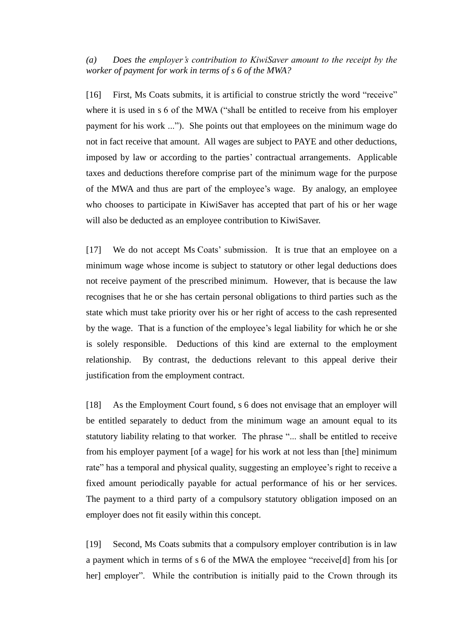*(a) Does the employer's contribution to KiwiSaver amount to the receipt by the worker of payment for work in terms of s 6 of the MWA?*

[16] First, Ms Coats submits, it is artificial to construe strictly the word "receive" where it is used in s 6 of the MWA ("shall be entitled to receive from his employer payment for his work ..."). She points out that employees on the minimum wage do not in fact receive that amount. All wages are subject to PAYE and other deductions, imposed by law or according to the parties' contractual arrangements. Applicable taxes and deductions therefore comprise part of the minimum wage for the purpose of the MWA and thus are part of the employee's wage. By analogy, an employee who chooses to participate in KiwiSaver has accepted that part of his or her wage will also be deducted as an employee contribution to KiwiSaver.

[17] We do not accept Ms Coats' submission. It is true that an employee on a minimum wage whose income is subject to statutory or other legal deductions does not receive payment of the prescribed minimum. However, that is because the law recognises that he or she has certain personal obligations to third parties such as the state which must take priority over his or her right of access to the cash represented by the wage. That is a function of the employee's legal liability for which he or she is solely responsible. Deductions of this kind are external to the employment relationship. By contrast, the deductions relevant to this appeal derive their justification from the employment contract.

[18] As the Employment Court found, s 6 does not envisage that an employer will be entitled separately to deduct from the minimum wage an amount equal to its statutory liability relating to that worker. The phrase "... shall be entitled to receive from his employer payment [of a wage] for his work at not less than [the] minimum rate" has a temporal and physical quality, suggesting an employee's right to receive a fixed amount periodically payable for actual performance of his or her services. The payment to a third party of a compulsory statutory obligation imposed on an employer does not fit easily within this concept.

[19] Second, Ms Coats submits that a compulsory employer contribution is in law a payment which in terms of s 6 of the MWA the employee "receive[d] from his [or her] employer". While the contribution is initially paid to the Crown through its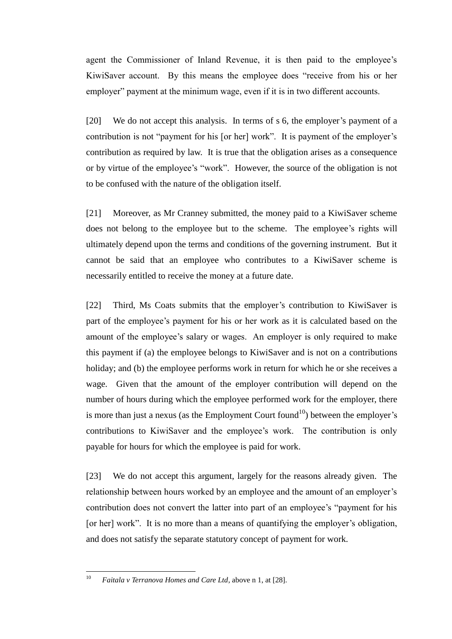agent the Commissioner of Inland Revenue, it is then paid to the employee's KiwiSaver account. By this means the employee does "receive from his or her employer" payment at the minimum wage, even if it is in two different accounts.

[20] We do not accept this analysis. In terms of s 6, the employer's payment of a contribution is not "payment for his [or her] work". It is payment of the employer's contribution as required by law. It is true that the obligation arises as a consequence or by virtue of the employee's "work". However, the source of the obligation is not to be confused with the nature of the obligation itself.

[21] Moreover, as Mr Cranney submitted, the money paid to a KiwiSaver scheme does not belong to the employee but to the scheme. The employee's rights will ultimately depend upon the terms and conditions of the governing instrument. But it cannot be said that an employee who contributes to a KiwiSaver scheme is necessarily entitled to receive the money at a future date.

[22] Third, Ms Coats submits that the employer's contribution to KiwiSaver is part of the employee's payment for his or her work as it is calculated based on the amount of the employee's salary or wages. An employer is only required to make this payment if (a) the employee belongs to KiwiSaver and is not on a contributions holiday; and (b) the employee performs work in return for which he or she receives a wage. Given that the amount of the employer contribution will depend on the number of hours during which the employee performed work for the employer, there is more than just a nexus (as the Employment Court found<sup>10</sup>) between the employer's contributions to KiwiSaver and the employee's work. The contribution is only payable for hours for which the employee is paid for work.

[23] We do not accept this argument, largely for the reasons already given. The relationship between hours worked by an employee and the amount of an employer's contribution does not convert the latter into part of an employee's "payment for his [or her] work". It is no more than a means of quantifying the employer's obligation, and does not satisfy the separate statutory concept of payment for work.

 $10$ <sup>10</sup> *Faitala v Terranova Homes and Care Ltd*, above n 1, at [28].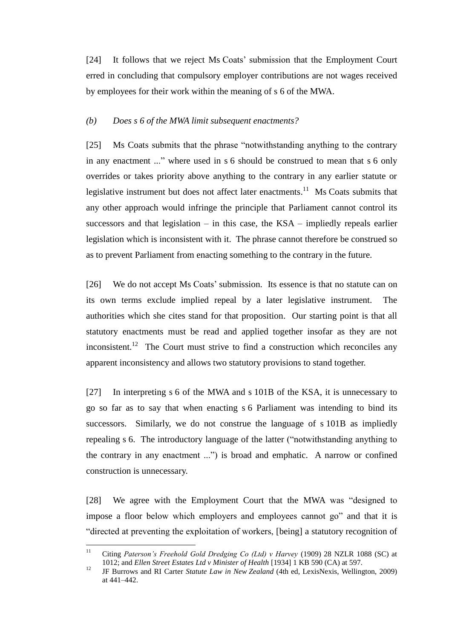[24] It follows that we reject Ms Coats' submission that the Employment Court erred in concluding that compulsory employer contributions are not wages received by employees for their work within the meaning of s 6 of the MWA.

#### *(b) Does s 6 of the MWA limit subsequent enactments?*

[25] Ms Coats submits that the phrase "notwithstanding anything to the contrary in any enactment ..." where used in s 6 should be construed to mean that s 6 only overrides or takes priority above anything to the contrary in any earlier statute or legislative instrument but does not affect later enactments.<sup>11</sup> Ms Coats submits that any other approach would infringe the principle that Parliament cannot control its successors and that legislation – in this case, the  $KSA$  – impliedly repeals earlier legislation which is inconsistent with it. The phrase cannot therefore be construed so as to prevent Parliament from enacting something to the contrary in the future.

[26] We do not accept Ms Coats' submission. Its essence is that no statute can on its own terms exclude implied repeal by a later legislative instrument. The authorities which she cites stand for that proposition. Our starting point is that all statutory enactments must be read and applied together insofar as they are not inconsistent.<sup>12</sup> The Court must strive to find a construction which reconciles any apparent inconsistency and allows two statutory provisions to stand together.

[27] In interpreting s 6 of the MWA and s 101B of the KSA, it is unnecessary to go so far as to say that when enacting s 6 Parliament was intending to bind its successors. Similarly, we do not construe the language of s 101B as impliedly repealing s 6. The introductory language of the latter ("notwithstanding anything to the contrary in any enactment ...") is broad and emphatic. A narrow or confined construction is unnecessary.

[28] We agree with the Employment Court that the MWA was "designed to impose a floor below which employers and employees cannot go" and that it is "directed at preventing the exploitation of workers, [being] a statutory recognition of

 $11\,$ <sup>11</sup> Citing *Paterson's Freehold Gold Dredging Co (Ltd) v Harvey* (1909) 28 NZLR 1088 (SC) at 1012; and *Ellen Street Estates Ltd v Minister of Health* [1934] 1 KB 590 (CA) at 597.

<sup>12</sup> JF Burrows and RI Carter *Statute Law in New Zealand* (4th ed, LexisNexis, Wellington, 2009) at 441–442.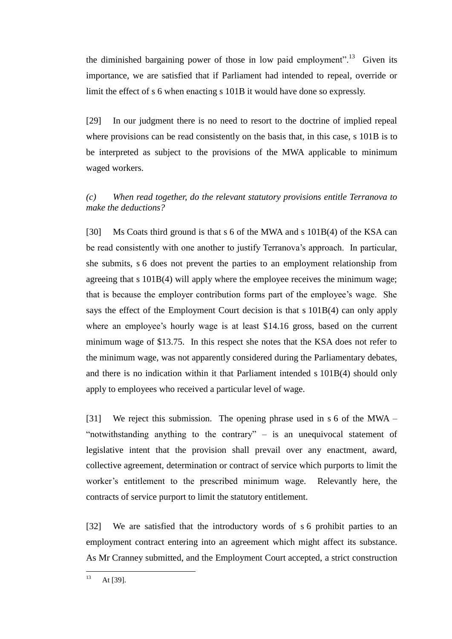the diminished bargaining power of those in low paid employment".<sup>13</sup> Given its importance, we are satisfied that if Parliament had intended to repeal, override or limit the effect of s 6 when enacting s 101B it would have done so expressly.

[29] In our judgment there is no need to resort to the doctrine of implied repeal where provisions can be read consistently on the basis that, in this case, s 101B is to be interpreted as subject to the provisions of the MWA applicable to minimum waged workers.

# *(c) When read together, do the relevant statutory provisions entitle Terranova to make the deductions?*

[30] Ms Coats third ground is that s 6 of the MWA and s 101B(4) of the KSA can be read consistently with one another to justify Terranova's approach. In particular, she submits, s 6 does not prevent the parties to an employment relationship from agreeing that s 101B(4) will apply where the employee receives the minimum wage; that is because the employer contribution forms part of the employee's wage. She says the effect of the Employment Court decision is that s 101B(4) can only apply where an employee's hourly wage is at least \$14.16 gross, based on the current minimum wage of \$13.75. In this respect she notes that the KSA does not refer to the minimum wage, was not apparently considered during the Parliamentary debates, and there is no indication within it that Parliament intended s 101B(4) should only apply to employees who received a particular level of wage.

[31] We reject this submission. The opening phrase used in s 6 of the MWA – "notwithstanding anything to the contrary" – is an unequivocal statement of legislative intent that the provision shall prevail over any enactment, award, collective agreement, determination or contract of service which purports to limit the worker's entitlement to the prescribed minimum wage. Relevantly here, the contracts of service purport to limit the statutory entitlement.

[32] We are satisfied that the introductory words of s 6 prohibit parties to an employment contract entering into an agreement which might affect its substance. As Mr Cranney submitted, and the Employment Court accepted, a strict construction

 $13$ At [39].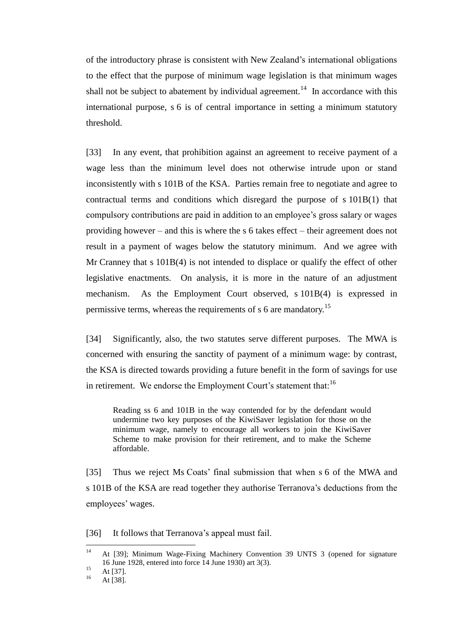of the introductory phrase is consistent with New Zealand's international obligations to the effect that the purpose of minimum wage legislation is that minimum wages shall not be subject to abatement by individual agreement.<sup>14</sup> In accordance with this international purpose, s 6 is of central importance in setting a minimum statutory threshold.

[33] In any event, that prohibition against an agreement to receive payment of a wage less than the minimum level does not otherwise intrude upon or stand inconsistently with s 101B of the KSA. Parties remain free to negotiate and agree to contractual terms and conditions which disregard the purpose of s 101B(1) that compulsory contributions are paid in addition to an employee's gross salary or wages providing however – and this is where the s 6 takes effect – their agreement does not result in a payment of wages below the statutory minimum. And we agree with Mr Cranney that s 101B(4) is not intended to displace or qualify the effect of other legislative enactments. On analysis, it is more in the nature of an adjustment mechanism. As the Employment Court observed, s 101B(4) is expressed in permissive terms, whereas the requirements of s 6 are mandatory.<sup>15</sup>

[34] Significantly, also, the two statutes serve different purposes. The MWA is concerned with ensuring the sanctity of payment of a minimum wage: by contrast, the KSA is directed towards providing a future benefit in the form of savings for use in retirement. We endorse the Employment Court's statement that:  $16$ 

Reading ss 6 and 101B in the way contended for by the defendant would undermine two key purposes of the KiwiSaver legislation for those on the minimum wage, namely to encourage all workers to join the KiwiSaver Scheme to make provision for their retirement, and to make the Scheme affordable.

[35] Thus we reject Ms Coats' final submission that when s 6 of the MWA and s 101B of the KSA are read together they authorise Terranova's deductions from the employees' wages.

[36] It follows that Terranova's appeal must fail.

 $14$ <sup>14</sup> At [39]; Minimum Wage-Fixing Machinery Convention 39 UNTS 3 (opened for signature 16 June 1928, entered into force 14 June 1930) art 3(3).

 $15$  At [37].

At [38].